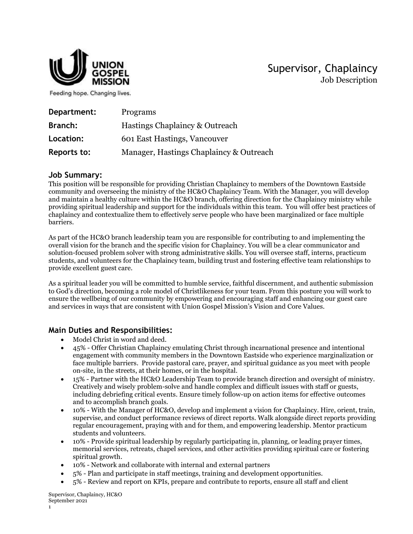

Supervisor, Chaplaincy Job Description

Feeding hope. Changing lives.

| Department: | Programs                                |
|-------------|-----------------------------------------|
| Branch:     | Hastings Chaplaincy & Outreach          |
| Location:   | 601 East Hastings, Vancouver            |
| Reports to: | Manager, Hastings Chaplaincy & Outreach |

## **Job Summary:**

This position will be responsible for providing Christian Chaplaincy to members of the Downtown Eastside community and overseeing the ministry of the HC&O Chaplaincy Team. With the Manager, you will develop and maintain a healthy culture within the HC&O branch, offering direction for the Chaplaincy ministry while providing spiritual leadership and support for the individuals within this team. You will offer best practices of chaplaincy and contextualize them to effectively serve people who have been marginalized or face multiple barriers.

As part of the HC&O branch leadership team you are responsible for contributing to and implementing the overall vision for the branch and the specific vision for Chaplaincy. You will be a clear communicator and solution-focused problem solver with strong administrative skills. You will oversee staff, interns, practicum students, and volunteers for the Chaplaincy team, building trust and fostering effective team relationships to provide excellent guest care.

As a spiritual leader you will be committed to humble service, faithful discernment, and authentic submission to God's direction, becoming a role model of Christlikeness for your team. From this posture you will work to ensure the wellbeing of our community by empowering and encouraging staff and enhancing our guest care and services in ways that are consistent with Union Gospel Mission's Vision and Core Values.

## **Main Duties and Responsibilities:**

- Model Christ in word and deed.
- 45% Offer Christian Chaplaincy emulating Christ through incarnational presence and intentional engagement with community members in the Downtown Eastside who experience marginalization or face multiple barriers. Provide pastoral care, prayer, and spiritual guidance as you meet with people on-site, in the streets, at their homes, or in the hospital.
- 15% Partner with the HC&O Leadership Team to provide branch direction and oversight of ministry. Creatively and wisely problem-solve and handle complex and difficult issues with staff or guests, including debriefing critical events. Ensure timely follow-up on action items for effective outcomes and to accomplish branch goals.
- 10% With the Manager of HC&O, develop and implement a vision for Chaplaincy. Hire, orient, train, supervise, and conduct performance reviews of direct reports. Walk alongside direct reports providing regular encouragement, praying with and for them, and empowering leadership. Mentor practicum students and volunteers.
- 10% Provide spiritual leadership by regularly participating in, planning, or leading prayer times, memorial services, retreats, chapel services, and other activities providing spiritual care or fostering spiritual growth.
- 10% Network and collaborate with internal and external partners
- 5% Plan and participate in staff meetings, training and development opportunities.
- 5% Review and report on KPIs, prepare and contribute to reports, ensure all staff and client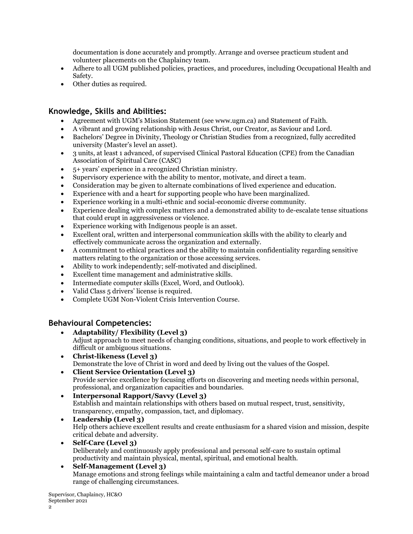documentation is done accurately and promptly. Arrange and oversee practicum student and volunteer placements on the Chaplaincy team.

- Adhere to all UGM published policies, practices, and procedures, including Occupational Health and Safety.
- Other duties as required.

# **Knowledge, Skills and Abilities:**

- Agreement with UGM's Mission Statement (see www.ugm.ca) and Statement of Faith.
- A vibrant and growing relationship with Jesus Christ, our Creator, as Saviour and Lord.
- Bachelors' Degree in Divinity, Theology or Christian Studies from a recognized, fully accredited university (Master's level an asset).
- 3 units, at least 1 advanced, of supervised Clinical Pastoral Education (CPE) from the Canadian Association of Spiritual Care (CASC)
- 5+ years' experience in a recognized Christian ministry.
- Supervisory experience with the ability to mentor, motivate, and direct a team.
- Consideration may be given to alternate combinations of lived experience and education.
- Experience with and a heart for supporting people who have been marginalized.
- Experience working in a multi-ethnic and social-economic diverse community.
- Experience dealing with complex matters and a demonstrated ability to de-escalate tense situations that could erupt in aggressiveness or violence.
- Experience working with Indigenous people is an asset.
- Excellent oral, written and interpersonal communication skills with the ability to clearly and effectively communicate across the organization and externally.
- A commitment to ethical practices and the ability to maintain confidentiality regarding sensitive matters relating to the organization or those accessing services.
- Ability to work independently; self-motivated and disciplined.
- Excellent time management and administrative skills.
- Intermediate computer skills (Excel, Word, and Outlook).
- Valid Class 5 drivers' license is required.
- Complete UGM Non-Violent Crisis Intervention Course.

# **Behavioural Competencies:**

- **Adaptability/ Flexibility (Level 3)** Adjust approach to meet needs of changing conditions, situations, and people to work effectively in difficult or ambiguous situations.
- **Christ-likeness (Level 3)** Demonstrate the love of Christ in word and deed by living out the values of the Gospel.
- **Client Service Orientation (Level 3)**  Provide service excellence by focusing efforts on discovering and meeting needs within personal, professional, and organization capacities and boundaries.
- **Interpersonal Rapport/Savvy (Level 3)** Establish and maintain relationships with others based on mutual respect, trust, sensitivity, transparency, empathy, compassion, tact, and diplomacy.
- **Leadership (Level 3)** Help others achieve excellent results and create enthusiasm for a shared vision and mission, despite critical debate and adversity.
- **Self-Care (Level 3)** Deliberately and continuously apply professional and personal self-care to sustain optimal productivity and maintain physical, mental, spiritual, and emotional health.

### **Self-Management (Level 3)** Manage emotions and strong feelings while maintaining a calm and tactful demeanor under a broad range of challenging circumstances.

Supervisor, Chaplaincy, HC&O September 2021 2